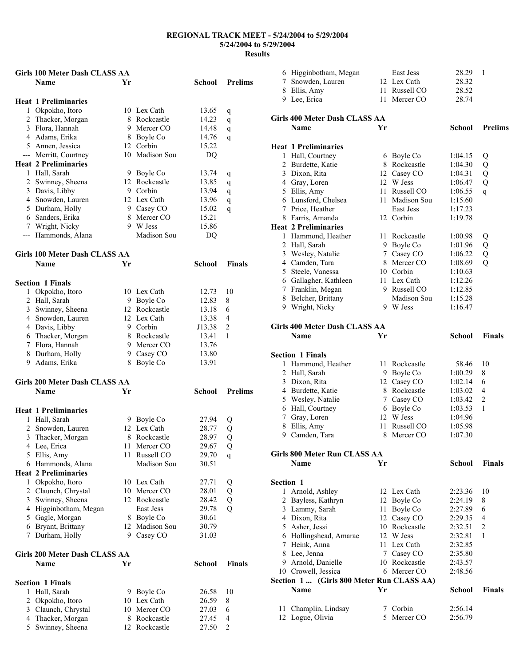|                | Girls 100 Meter Dash CLASS AA |    |                |                |                |
|----------------|-------------------------------|----|----------------|----------------|----------------|
|                | <b>Name</b>                   | Yr |                | School         | <b>Prelims</b> |
|                |                               |    |                |                |                |
|                | <b>Heat 1 Preliminaries</b>   |    |                |                |                |
| $\mathbf{1}$   | Okpokho, Itoro                |    | 10 Lex Cath    | 13.65          |                |
|                | 2 Thacker, Morgan             |    | 8 Rockcastle   | 14.23          | q              |
|                | 3 Flora, Hannah               |    | 9 Mercer CO    |                | q              |
|                |                               |    |                | 14.48<br>14.76 | q              |
|                | 4 Adams, Erika                |    | 8 Boyle Co     |                | q              |
|                | 5 Annen, Jessica              |    | 12 Corbin      | 15.22          |                |
|                | --- Merritt, Courtney         |    | 10 Madison Sou | DQ             |                |
|                | <b>Heat 2 Preliminaries</b>   |    |                |                |                |
|                | 1 Hall, Sarah                 |    | 9 Boyle Co     | 13.74          | q              |
|                | 2 Swinney, Sheena             |    | 12 Rockcastle  | 13.85          | q              |
|                | 3 Davis, Libby                |    | 9 Corbin       | 13.94          | q              |
|                | 4 Snowden, Lauren             |    | 12 Lex Cath    | 13.96          | q              |
|                | 5 Durham, Holly               |    | 9 Casey CO     | 15.02          | q              |
|                | 6 Sanders, Erika              |    | 8 Mercer CO    | 15.21          |                |
|                | 7 Wright, Nicky               |    | 9 W Jess       | 15.86          |                |
|                | --- Hammonds, Alana           |    | Madison Sou    | DQ             |                |
|                |                               |    |                |                |                |
|                | Girls 100 Meter Dash CLASS AA |    |                |                |                |
|                | <b>Name</b>                   | Yr |                | School         | <b>Finals</b>  |
|                |                               |    |                |                |                |
|                |                               |    |                |                |                |
|                | <b>Section 1 Finals</b>       |    |                |                |                |
|                | 1 Okpokho, Itoro              |    | 10 Lex Cath    | 12.73          | 10             |
|                | 2 Hall, Sarah                 |    | 9 Boyle Co     | 12.83          | 8              |
|                | 3 Swinney, Sheena             |    | 12 Rockcastle  | 13.18          | 6              |
|                | 4 Snowden, Lauren             |    | 12 Lex Cath    | 13.38          | 4              |
|                | 4 Davis, Libby                |    | 9 Corbin       | J13.38         | 2              |
|                | 6 Thacker, Morgan             |    | 8 Rockcastle   | 13.41          | 1              |
|                | 7 Flora, Hannah               |    | 9 Mercer CO    | 13.76          |                |
|                | 8 Durham, Holly               |    | 9 Casey CO     | 13.80          |                |
|                | 9 Adams, Erika                | 8. | Boyle Co       | 13.91          |                |
|                |                               |    |                |                |                |
|                | Girls 200 Meter Dash CLASS AA |    |                |                |                |
|                | <b>Name</b>                   | Yr |                | School         | <b>Prelims</b> |
|                |                               |    |                |                |                |
|                | <b>Heat 1 Preliminaries</b>   |    |                |                |                |
|                |                               |    |                |                |                |
|                | 1 Hall, Sarah                 |    | 9 Boyle Co     | 27.94          | Q              |
|                | 2 Snowden, Lauren             |    | 12 Lex Cath    | 28.77          | Q              |
| 3              | Thacker, Morgan               |    | 8 Rockcastle   | 28.97          | Q              |
|                | 4 Lee, Erica                  | 11 | Mercer CO      | 29.67          | Q              |
| 5              | Ellis, Amy                    | 11 | Russell CO     | 29.70          | q              |
|                | 6 Hammonds, Alana             |    | Madison Sou    | 30.51          |                |
|                | <b>Heat 2 Preliminaries</b>   |    |                |                |                |
| 1              | Okpokho, Itoro                |    | 10 Lex Cath    | 27.71          | Q              |
|                | 2 Claunch, Chrystal           | 10 | Mercer CO      | 28.01          | Q              |
|                | 3 Swinney, Sheena             | 12 | Rockcastle     | 28.42          | Q              |
|                | 4 Higginbotham, Megan         |    | East Jess      | 29.78          | Q              |
|                | 5 Gagle, Morgan               | 8  | Boyle Co       | 30.61          |                |
|                | 6 Bryant, Brittany            | 12 | Madison Sou    | 30.79          |                |
| 7              | Durham, Holly                 | 9. | Casey CO       | 31.03          |                |
|                |                               |    |                |                |                |
|                | Girls 200 Meter Dash CLASS AA |    |                |                |                |
|                | Name                          | Yr |                | <b>School</b>  | Finals         |
|                |                               |    |                |                |                |
|                |                               |    |                |                |                |
|                | <b>Section 1 Finals</b>       |    |                |                |                |
| 1              | Hall, Sarah                   |    | 9 Boyle Co     | 26.58          | 10             |
| $\overline{2}$ | Okpokho, Itoro                |    | 10 Lex Cath    | 26.59          | 8              |
|                | 3 Claunch, Chrystal           | 10 | Mercer CO      | 27.03          | 6              |
|                | 4 Thacker, Morgan             | 8  | Rockcastle     | 27.45          | 4              |
| 5              | Swinney, Sheena               | 12 | Rockcastle     | 27.50          | $\overline{c}$ |

|                  | 6 Higginbotham, Megan                    |      | East Jess      | 28.29   | $\mathbf{1}$   |
|------------------|------------------------------------------|------|----------------|---------|----------------|
|                  | 7 Snowden, Lauren                        |      | 12 Lex Cath    | 28.32   |                |
|                  | 8 Ellis, Amy                             |      | 11 Russell CO  | 28.52   |                |
|                  | 9 Lee, Erica                             | 11 - | Mercer CO      | 28.74   |                |
|                  |                                          |      |                |         |                |
|                  | Girls 400 Meter Dash CLASS AA            |      |                |         |                |
|                  | Name                                     | Yr   |                | School  | <b>Prelims</b> |
|                  | <b>Heat 1 Preliminaries</b>              |      |                |         |                |
|                  | 1 Hall, Courtney                         |      | 6 Boyle Co     | 1:04.15 | Q              |
|                  | 2 Burdette, Katie                        |      | 8 Rockcastle   | 1:04.30 | Q              |
|                  | 3 Dixon, Rita                            |      | 12 Casey CO    | 1:04.31 | Q              |
|                  | 4 Gray, Loren                            |      | 12 W Jess      | 1:06.47 | Q              |
|                  | 5 Ellis, Amy                             |      | 11 Russell CO  | 1:06.55 | $\mathsf{q}$   |
|                  | 6 Lunsford, Chelsea                      |      | 11 Madison Sou | 1:15.60 |                |
|                  | 7 Price, Heather                         |      | East Jess      | 1:17.23 |                |
|                  | 8 Farris, Amanda                         |      | 12 Corbin      | 1:19.78 |                |
|                  | <b>Heat 2 Preliminaries</b>              |      |                |         |                |
|                  | 1 Hammond, Heather                       |      | 11 Rockcastle  | 1:00.98 |                |
|                  |                                          |      |                |         | Q              |
|                  | 2 Hall, Sarah                            |      | 9 Boyle Co     | 1:01.96 | Q              |
|                  | 3 Wesley, Natalie                        |      | 7 Casey CO     | 1:06.22 | $\overline{Q}$ |
|                  | 4 Camden, Tara                           |      | 8 Mercer CO    | 1:08.69 | Q              |
|                  | 5 Steele, Vanessa                        |      | 10 Corbin      | 1:10.63 |                |
|                  | 6 Gallagher, Kathleen                    |      | 11 Lex Cath    | 1:12.26 |                |
|                  | 7 Franklin, Megan                        |      | 9 Russell CO   | 1:12.85 |                |
|                  | 8 Belcher, Brittany                      |      | Madison Sou    | 1:15.28 |                |
|                  | 9 Wright, Nicky                          |      | 9 W Jess       | 1:16.47 |                |
|                  | Girls 400 Meter Dash CLASS AA            |      |                |         |                |
|                  | Name                                     | Yr   |                | School  | <b>Finals</b>  |
|                  |                                          |      |                |         |                |
|                  | <b>Section 1 Finals</b>                  |      |                |         |                |
|                  | 1 Hammond, Heather                       |      | 11 Rockcastle  | 58.46   | 10             |
|                  | 2 Hall, Sarah                            |      | 9 Boyle Co     | 1:00.29 | 8              |
|                  | 3 Dixon, Rita                            |      | 12 Casey CO    | 1:02.14 | 6              |
|                  | 4 Burdette, Katie                        |      | 8 Rockcastle   | 1:03.02 | $\overline{4}$ |
|                  | 5 Wesley, Natalie                        |      | 7 Casey CO     | 1:03.42 | $\overline{2}$ |
|                  | 6 Hall, Courtney                         |      | 6 Boyle Co     | 1:03.53 | 1              |
| 7                | Gray, Loren                              |      | 12 W Jess      | 1:04.96 |                |
| 8                | Ellis, Amy                               | 11   | Russell CO     | 1:05.98 |                |
|                  | 9 Camden, Tara                           |      | 8 Mercer CO    | 1:07.30 |                |
|                  |                                          |      |                |         |                |
|                  | Girls 800 Meter Run CLASS AA             |      |                |         |                |
|                  | Name                                     | Yr   |                | School  | <b>Finals</b>  |
|                  |                                          |      |                |         |                |
| <b>Section 1</b> |                                          |      |                |         |                |
| 1                | Arnold, Ashley                           |      | 12 Lex Cath    | 2:23.36 | 10             |
| $\overline{2}$   | Bayless, Kathryn                         |      | 12 Boyle Co    | 2:24.19 | 8              |
|                  | 3 Lammy, Sarah                           |      | 11 Boyle Co    | 2:27.89 | 6              |
|                  | 4 Dixon, Rita                            |      | 12 Casey CO    | 2:29.35 | 4              |
|                  | 5 Asher, Jessi                           |      | 10 Rockcastle  | 2:32.51 | $\overline{c}$ |
|                  | 6 Hollingshead, Amarae                   |      | 12 W Jess      | 2:32.81 | 1              |
| 7                | Heink, Anna                              |      | 11 Lex Cath    | 2:32.85 |                |
|                  | 8 Lee, Jenna                             |      | 7 Casey CO     | 2:35.80 |                |
|                  | 9 Arnold, Danielle                       |      | 10 Rockcastle  | 2:43.57 |                |
|                  | 10 Crowell, Jessica                      |      | 6 Mercer CO    | 2:48.56 |                |
|                  | Section 1 (Girls 800 Meter Run CLASS AA) |      |                |         |                |
|                  | Name                                     | Yr   |                | School  | <b>Finals</b>  |
|                  |                                          |      |                |         |                |
|                  | 11 Champlin, Lindsay                     | 7    | Corbin         | 2:56.14 |                |
|                  | 12 Logue, Olivia                         |      | 5 Mercer CO    | 2:56.79 |                |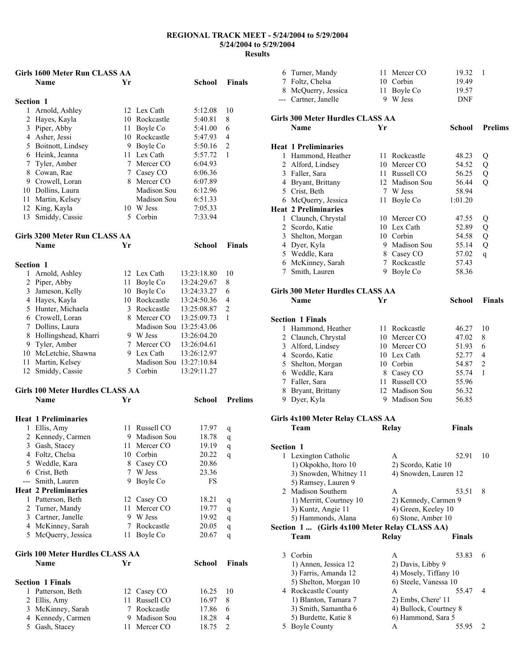| <b>Name</b><br>Yr<br>School<br><b>Finals</b><br><b>Section 1</b><br>1 Arnold, Ashley<br>12 Lex Cath<br>5:12.08<br>10<br>2 Hayes, Kayla<br>10 Rockcastle<br>8<br>5:40.81<br>3 Piper, Abby<br>Boyle Co<br>11<br>5:41.00<br>6<br>4 Asher, Jessi<br>10 Rockcastle<br>4<br>5:47.93<br>5 Boitnott, Lindsey<br>9 Boyle Co<br>2<br>5:50.16<br>6 Heink, Jeanna<br>11 Lex Cath<br>1<br>5:57.72<br>7 Tyler, Amber<br>7 Mercer CO<br>6:04.93<br>8 Cowan, Rae<br>7 Casey CO<br>6:06.36<br>8 Mercer CO<br>9 Crowell, Loran<br>6:07.89<br>10 Dollins, Laura<br>Madison Sou<br>6:12.96<br>11 Martin, Kelsey<br>Madison Sou<br>6:51.33<br>12 King, Kayla<br>10 W Jess<br>7:05.33<br>13 Smiddy, Cassie<br>Corbin<br>5<br>7:33.94<br>Girls 3200 Meter Run CLASS AA<br><b>Name</b><br>Yr<br>School<br><b>Finals</b><br><b>Section 1</b><br>Arnold, Ashley<br>13:23:18.80<br>12 Lex Cath<br>10<br>1<br>2 Piper, Abby<br>11 Boyle Co<br>13:24:29.67<br>8<br>3 Jameson, Kelly<br>10 Boyle Co<br>13:24:33.27<br>6<br>4 Hayes, Kayla<br>10 Rockcastle<br>13:24:50.36<br>4<br>5 Hunter, Michaela<br>3 Rockcastle<br>13:25:08.87<br>2<br>6 Crowell, Loran<br>8 Mercer CO<br>13:25:09.73<br>1<br>7 Dollins, Laura<br>Madison Sou 13:25:43.06<br>9 W Jess<br>8 Hollingshead, Kharri<br>13:26:04.20<br>9 Tyler, Amber<br>7 Mercer CO<br>13:26:04.61<br>10 McLetchie, Shawna<br>9 Lex Cath<br>13:26:12.97<br>11 Martin, Kelsey<br>Madison Sou 13:27:10.84<br>12 Smiddy, Cassie<br>5 Corbin<br>13:29:11.27<br><b>Girls 100 Meter Hurdles CLASS AA</b><br><b>Prelims</b><br><b>Name</b><br>Yг<br>School<br><b>Heat 1 Preliminaries</b><br>11 Russell CO<br>Ellis, Amy<br>1<br>17.97<br>q<br>Madison Sou<br>2 Kennedy, Carmen<br>9<br>18.78<br>q<br>3 Gash, Stacey<br>11<br>Mercer CO<br>19.19<br>q<br>4 Foltz, Chelsa<br>10<br>Corbin<br>20.22<br>q<br>5 Weddle, Kara<br>8<br>Casey CO<br>20.86<br>6 Crist, Beth<br>7<br>W Jess<br>23.36<br>9<br>Boyle Co<br>--- Smith, Lauren<br>FS<br><b>Heat 2 Preliminaries</b><br>1 Patterson, Beth<br>12 Casey CO<br>18.21<br>q<br>2 Turner, Mandy<br>Mercer CO<br>11<br>19.77<br>q<br>3 Cartner, Janelle<br>9<br>W Jess<br>19.92<br>q<br>4 McKinney, Sarah<br>Rockcastle<br>7<br>20.05<br>q<br>5 McQuerry, Jessica<br>11 Boyle Co<br>20.67<br>q<br>Girls 100 Meter Hurdles CLASS AA<br>Yr<br><b>School</b><br><b>Finals</b><br>Name<br><b>Section 1 Finals</b><br>Patterson, Beth<br>12<br>Casey CO<br>16.25<br>10<br>1<br>Russell CO<br>2 Ellis, Amy<br>11<br>8<br>16.97<br>3 McKinney, Sarah<br>7<br>Rockcastle<br>6<br>17.86<br>4 Kennedy, Carmen<br>Madison Sou<br>9<br>18.28<br>4<br>11 | Girls 1600 Meter Run CLASS AA |           |       |   |
|----------------------------------------------------------------------------------------------------------------------------------------------------------------------------------------------------------------------------------------------------------------------------------------------------------------------------------------------------------------------------------------------------------------------------------------------------------------------------------------------------------------------------------------------------------------------------------------------------------------------------------------------------------------------------------------------------------------------------------------------------------------------------------------------------------------------------------------------------------------------------------------------------------------------------------------------------------------------------------------------------------------------------------------------------------------------------------------------------------------------------------------------------------------------------------------------------------------------------------------------------------------------------------------------------------------------------------------------------------------------------------------------------------------------------------------------------------------------------------------------------------------------------------------------------------------------------------------------------------------------------------------------------------------------------------------------------------------------------------------------------------------------------------------------------------------------------------------------------------------------------------------------------------------------------------------------------------------------------------------------------------------------------------------------------------------------------------------------------------------------------------------------------------------------------------------------------------------------------------------------------------------------------------------------------------------------------------------------------------------------------------------------------------------------------------------------------------------------------------------------------------------------------------------------------------------------------------------------------|-------------------------------|-----------|-------|---|
|                                                                                                                                                                                                                                                                                                                                                                                                                                                                                                                                                                                                                                                                                                                                                                                                                                                                                                                                                                                                                                                                                                                                                                                                                                                                                                                                                                                                                                                                                                                                                                                                                                                                                                                                                                                                                                                                                                                                                                                                                                                                                                                                                                                                                                                                                                                                                                                                                                                                                                                                                                                                    |                               |           |       |   |
|                                                                                                                                                                                                                                                                                                                                                                                                                                                                                                                                                                                                                                                                                                                                                                                                                                                                                                                                                                                                                                                                                                                                                                                                                                                                                                                                                                                                                                                                                                                                                                                                                                                                                                                                                                                                                                                                                                                                                                                                                                                                                                                                                                                                                                                                                                                                                                                                                                                                                                                                                                                                    |                               |           |       |   |
|                                                                                                                                                                                                                                                                                                                                                                                                                                                                                                                                                                                                                                                                                                                                                                                                                                                                                                                                                                                                                                                                                                                                                                                                                                                                                                                                                                                                                                                                                                                                                                                                                                                                                                                                                                                                                                                                                                                                                                                                                                                                                                                                                                                                                                                                                                                                                                                                                                                                                                                                                                                                    |                               |           |       |   |
|                                                                                                                                                                                                                                                                                                                                                                                                                                                                                                                                                                                                                                                                                                                                                                                                                                                                                                                                                                                                                                                                                                                                                                                                                                                                                                                                                                                                                                                                                                                                                                                                                                                                                                                                                                                                                                                                                                                                                                                                                                                                                                                                                                                                                                                                                                                                                                                                                                                                                                                                                                                                    |                               |           |       |   |
|                                                                                                                                                                                                                                                                                                                                                                                                                                                                                                                                                                                                                                                                                                                                                                                                                                                                                                                                                                                                                                                                                                                                                                                                                                                                                                                                                                                                                                                                                                                                                                                                                                                                                                                                                                                                                                                                                                                                                                                                                                                                                                                                                                                                                                                                                                                                                                                                                                                                                                                                                                                                    |                               |           |       |   |
|                                                                                                                                                                                                                                                                                                                                                                                                                                                                                                                                                                                                                                                                                                                                                                                                                                                                                                                                                                                                                                                                                                                                                                                                                                                                                                                                                                                                                                                                                                                                                                                                                                                                                                                                                                                                                                                                                                                                                                                                                                                                                                                                                                                                                                                                                                                                                                                                                                                                                                                                                                                                    |                               |           |       |   |
|                                                                                                                                                                                                                                                                                                                                                                                                                                                                                                                                                                                                                                                                                                                                                                                                                                                                                                                                                                                                                                                                                                                                                                                                                                                                                                                                                                                                                                                                                                                                                                                                                                                                                                                                                                                                                                                                                                                                                                                                                                                                                                                                                                                                                                                                                                                                                                                                                                                                                                                                                                                                    |                               |           |       |   |
|                                                                                                                                                                                                                                                                                                                                                                                                                                                                                                                                                                                                                                                                                                                                                                                                                                                                                                                                                                                                                                                                                                                                                                                                                                                                                                                                                                                                                                                                                                                                                                                                                                                                                                                                                                                                                                                                                                                                                                                                                                                                                                                                                                                                                                                                                                                                                                                                                                                                                                                                                                                                    |                               |           |       |   |
|                                                                                                                                                                                                                                                                                                                                                                                                                                                                                                                                                                                                                                                                                                                                                                                                                                                                                                                                                                                                                                                                                                                                                                                                                                                                                                                                                                                                                                                                                                                                                                                                                                                                                                                                                                                                                                                                                                                                                                                                                                                                                                                                                                                                                                                                                                                                                                                                                                                                                                                                                                                                    |                               |           |       |   |
|                                                                                                                                                                                                                                                                                                                                                                                                                                                                                                                                                                                                                                                                                                                                                                                                                                                                                                                                                                                                                                                                                                                                                                                                                                                                                                                                                                                                                                                                                                                                                                                                                                                                                                                                                                                                                                                                                                                                                                                                                                                                                                                                                                                                                                                                                                                                                                                                                                                                                                                                                                                                    |                               |           |       |   |
|                                                                                                                                                                                                                                                                                                                                                                                                                                                                                                                                                                                                                                                                                                                                                                                                                                                                                                                                                                                                                                                                                                                                                                                                                                                                                                                                                                                                                                                                                                                                                                                                                                                                                                                                                                                                                                                                                                                                                                                                                                                                                                                                                                                                                                                                                                                                                                                                                                                                                                                                                                                                    |                               |           |       |   |
|                                                                                                                                                                                                                                                                                                                                                                                                                                                                                                                                                                                                                                                                                                                                                                                                                                                                                                                                                                                                                                                                                                                                                                                                                                                                                                                                                                                                                                                                                                                                                                                                                                                                                                                                                                                                                                                                                                                                                                                                                                                                                                                                                                                                                                                                                                                                                                                                                                                                                                                                                                                                    |                               |           |       |   |
|                                                                                                                                                                                                                                                                                                                                                                                                                                                                                                                                                                                                                                                                                                                                                                                                                                                                                                                                                                                                                                                                                                                                                                                                                                                                                                                                                                                                                                                                                                                                                                                                                                                                                                                                                                                                                                                                                                                                                                                                                                                                                                                                                                                                                                                                                                                                                                                                                                                                                                                                                                                                    |                               |           |       |   |
|                                                                                                                                                                                                                                                                                                                                                                                                                                                                                                                                                                                                                                                                                                                                                                                                                                                                                                                                                                                                                                                                                                                                                                                                                                                                                                                                                                                                                                                                                                                                                                                                                                                                                                                                                                                                                                                                                                                                                                                                                                                                                                                                                                                                                                                                                                                                                                                                                                                                                                                                                                                                    |                               |           |       |   |
|                                                                                                                                                                                                                                                                                                                                                                                                                                                                                                                                                                                                                                                                                                                                                                                                                                                                                                                                                                                                                                                                                                                                                                                                                                                                                                                                                                                                                                                                                                                                                                                                                                                                                                                                                                                                                                                                                                                                                                                                                                                                                                                                                                                                                                                                                                                                                                                                                                                                                                                                                                                                    |                               |           |       |   |
|                                                                                                                                                                                                                                                                                                                                                                                                                                                                                                                                                                                                                                                                                                                                                                                                                                                                                                                                                                                                                                                                                                                                                                                                                                                                                                                                                                                                                                                                                                                                                                                                                                                                                                                                                                                                                                                                                                                                                                                                                                                                                                                                                                                                                                                                                                                                                                                                                                                                                                                                                                                                    |                               |           |       |   |
|                                                                                                                                                                                                                                                                                                                                                                                                                                                                                                                                                                                                                                                                                                                                                                                                                                                                                                                                                                                                                                                                                                                                                                                                                                                                                                                                                                                                                                                                                                                                                                                                                                                                                                                                                                                                                                                                                                                                                                                                                                                                                                                                                                                                                                                                                                                                                                                                                                                                                                                                                                                                    |                               |           |       |   |
|                                                                                                                                                                                                                                                                                                                                                                                                                                                                                                                                                                                                                                                                                                                                                                                                                                                                                                                                                                                                                                                                                                                                                                                                                                                                                                                                                                                                                                                                                                                                                                                                                                                                                                                                                                                                                                                                                                                                                                                                                                                                                                                                                                                                                                                                                                                                                                                                                                                                                                                                                                                                    |                               |           |       |   |
|                                                                                                                                                                                                                                                                                                                                                                                                                                                                                                                                                                                                                                                                                                                                                                                                                                                                                                                                                                                                                                                                                                                                                                                                                                                                                                                                                                                                                                                                                                                                                                                                                                                                                                                                                                                                                                                                                                                                                                                                                                                                                                                                                                                                                                                                                                                                                                                                                                                                                                                                                                                                    |                               |           |       |   |
|                                                                                                                                                                                                                                                                                                                                                                                                                                                                                                                                                                                                                                                                                                                                                                                                                                                                                                                                                                                                                                                                                                                                                                                                                                                                                                                                                                                                                                                                                                                                                                                                                                                                                                                                                                                                                                                                                                                                                                                                                                                                                                                                                                                                                                                                                                                                                                                                                                                                                                                                                                                                    |                               |           |       |   |
|                                                                                                                                                                                                                                                                                                                                                                                                                                                                                                                                                                                                                                                                                                                                                                                                                                                                                                                                                                                                                                                                                                                                                                                                                                                                                                                                                                                                                                                                                                                                                                                                                                                                                                                                                                                                                                                                                                                                                                                                                                                                                                                                                                                                                                                                                                                                                                                                                                                                                                                                                                                                    |                               |           |       |   |
|                                                                                                                                                                                                                                                                                                                                                                                                                                                                                                                                                                                                                                                                                                                                                                                                                                                                                                                                                                                                                                                                                                                                                                                                                                                                                                                                                                                                                                                                                                                                                                                                                                                                                                                                                                                                                                                                                                                                                                                                                                                                                                                                                                                                                                                                                                                                                                                                                                                                                                                                                                                                    |                               |           |       |   |
|                                                                                                                                                                                                                                                                                                                                                                                                                                                                                                                                                                                                                                                                                                                                                                                                                                                                                                                                                                                                                                                                                                                                                                                                                                                                                                                                                                                                                                                                                                                                                                                                                                                                                                                                                                                                                                                                                                                                                                                                                                                                                                                                                                                                                                                                                                                                                                                                                                                                                                                                                                                                    |                               |           |       |   |
|                                                                                                                                                                                                                                                                                                                                                                                                                                                                                                                                                                                                                                                                                                                                                                                                                                                                                                                                                                                                                                                                                                                                                                                                                                                                                                                                                                                                                                                                                                                                                                                                                                                                                                                                                                                                                                                                                                                                                                                                                                                                                                                                                                                                                                                                                                                                                                                                                                                                                                                                                                                                    |                               |           |       |   |
|                                                                                                                                                                                                                                                                                                                                                                                                                                                                                                                                                                                                                                                                                                                                                                                                                                                                                                                                                                                                                                                                                                                                                                                                                                                                                                                                                                                                                                                                                                                                                                                                                                                                                                                                                                                                                                                                                                                                                                                                                                                                                                                                                                                                                                                                                                                                                                                                                                                                                                                                                                                                    |                               |           |       |   |
|                                                                                                                                                                                                                                                                                                                                                                                                                                                                                                                                                                                                                                                                                                                                                                                                                                                                                                                                                                                                                                                                                                                                                                                                                                                                                                                                                                                                                                                                                                                                                                                                                                                                                                                                                                                                                                                                                                                                                                                                                                                                                                                                                                                                                                                                                                                                                                                                                                                                                                                                                                                                    |                               |           |       |   |
|                                                                                                                                                                                                                                                                                                                                                                                                                                                                                                                                                                                                                                                                                                                                                                                                                                                                                                                                                                                                                                                                                                                                                                                                                                                                                                                                                                                                                                                                                                                                                                                                                                                                                                                                                                                                                                                                                                                                                                                                                                                                                                                                                                                                                                                                                                                                                                                                                                                                                                                                                                                                    |                               |           |       |   |
|                                                                                                                                                                                                                                                                                                                                                                                                                                                                                                                                                                                                                                                                                                                                                                                                                                                                                                                                                                                                                                                                                                                                                                                                                                                                                                                                                                                                                                                                                                                                                                                                                                                                                                                                                                                                                                                                                                                                                                                                                                                                                                                                                                                                                                                                                                                                                                                                                                                                                                                                                                                                    |                               |           |       |   |
|                                                                                                                                                                                                                                                                                                                                                                                                                                                                                                                                                                                                                                                                                                                                                                                                                                                                                                                                                                                                                                                                                                                                                                                                                                                                                                                                                                                                                                                                                                                                                                                                                                                                                                                                                                                                                                                                                                                                                                                                                                                                                                                                                                                                                                                                                                                                                                                                                                                                                                                                                                                                    |                               |           |       |   |
|                                                                                                                                                                                                                                                                                                                                                                                                                                                                                                                                                                                                                                                                                                                                                                                                                                                                                                                                                                                                                                                                                                                                                                                                                                                                                                                                                                                                                                                                                                                                                                                                                                                                                                                                                                                                                                                                                                                                                                                                                                                                                                                                                                                                                                                                                                                                                                                                                                                                                                                                                                                                    |                               |           |       |   |
|                                                                                                                                                                                                                                                                                                                                                                                                                                                                                                                                                                                                                                                                                                                                                                                                                                                                                                                                                                                                                                                                                                                                                                                                                                                                                                                                                                                                                                                                                                                                                                                                                                                                                                                                                                                                                                                                                                                                                                                                                                                                                                                                                                                                                                                                                                                                                                                                                                                                                                                                                                                                    |                               |           |       |   |
|                                                                                                                                                                                                                                                                                                                                                                                                                                                                                                                                                                                                                                                                                                                                                                                                                                                                                                                                                                                                                                                                                                                                                                                                                                                                                                                                                                                                                                                                                                                                                                                                                                                                                                                                                                                                                                                                                                                                                                                                                                                                                                                                                                                                                                                                                                                                                                                                                                                                                                                                                                                                    |                               |           |       |   |
|                                                                                                                                                                                                                                                                                                                                                                                                                                                                                                                                                                                                                                                                                                                                                                                                                                                                                                                                                                                                                                                                                                                                                                                                                                                                                                                                                                                                                                                                                                                                                                                                                                                                                                                                                                                                                                                                                                                                                                                                                                                                                                                                                                                                                                                                                                                                                                                                                                                                                                                                                                                                    |                               |           |       |   |
|                                                                                                                                                                                                                                                                                                                                                                                                                                                                                                                                                                                                                                                                                                                                                                                                                                                                                                                                                                                                                                                                                                                                                                                                                                                                                                                                                                                                                                                                                                                                                                                                                                                                                                                                                                                                                                                                                                                                                                                                                                                                                                                                                                                                                                                                                                                                                                                                                                                                                                                                                                                                    |                               |           |       |   |
|                                                                                                                                                                                                                                                                                                                                                                                                                                                                                                                                                                                                                                                                                                                                                                                                                                                                                                                                                                                                                                                                                                                                                                                                                                                                                                                                                                                                                                                                                                                                                                                                                                                                                                                                                                                                                                                                                                                                                                                                                                                                                                                                                                                                                                                                                                                                                                                                                                                                                                                                                                                                    |                               |           |       |   |
|                                                                                                                                                                                                                                                                                                                                                                                                                                                                                                                                                                                                                                                                                                                                                                                                                                                                                                                                                                                                                                                                                                                                                                                                                                                                                                                                                                                                                                                                                                                                                                                                                                                                                                                                                                                                                                                                                                                                                                                                                                                                                                                                                                                                                                                                                                                                                                                                                                                                                                                                                                                                    |                               |           |       |   |
|                                                                                                                                                                                                                                                                                                                                                                                                                                                                                                                                                                                                                                                                                                                                                                                                                                                                                                                                                                                                                                                                                                                                                                                                                                                                                                                                                                                                                                                                                                                                                                                                                                                                                                                                                                                                                                                                                                                                                                                                                                                                                                                                                                                                                                                                                                                                                                                                                                                                                                                                                                                                    |                               |           |       |   |
|                                                                                                                                                                                                                                                                                                                                                                                                                                                                                                                                                                                                                                                                                                                                                                                                                                                                                                                                                                                                                                                                                                                                                                                                                                                                                                                                                                                                                                                                                                                                                                                                                                                                                                                                                                                                                                                                                                                                                                                                                                                                                                                                                                                                                                                                                                                                                                                                                                                                                                                                                                                                    |                               |           |       |   |
|                                                                                                                                                                                                                                                                                                                                                                                                                                                                                                                                                                                                                                                                                                                                                                                                                                                                                                                                                                                                                                                                                                                                                                                                                                                                                                                                                                                                                                                                                                                                                                                                                                                                                                                                                                                                                                                                                                                                                                                                                                                                                                                                                                                                                                                                                                                                                                                                                                                                                                                                                                                                    |                               |           |       |   |
|                                                                                                                                                                                                                                                                                                                                                                                                                                                                                                                                                                                                                                                                                                                                                                                                                                                                                                                                                                                                                                                                                                                                                                                                                                                                                                                                                                                                                                                                                                                                                                                                                                                                                                                                                                                                                                                                                                                                                                                                                                                                                                                                                                                                                                                                                                                                                                                                                                                                                                                                                                                                    |                               |           |       |   |
|                                                                                                                                                                                                                                                                                                                                                                                                                                                                                                                                                                                                                                                                                                                                                                                                                                                                                                                                                                                                                                                                                                                                                                                                                                                                                                                                                                                                                                                                                                                                                                                                                                                                                                                                                                                                                                                                                                                                                                                                                                                                                                                                                                                                                                                                                                                                                                                                                                                                                                                                                                                                    |                               |           |       |   |
|                                                                                                                                                                                                                                                                                                                                                                                                                                                                                                                                                                                                                                                                                                                                                                                                                                                                                                                                                                                                                                                                                                                                                                                                                                                                                                                                                                                                                                                                                                                                                                                                                                                                                                                                                                                                                                                                                                                                                                                                                                                                                                                                                                                                                                                                                                                                                                                                                                                                                                                                                                                                    |                               |           |       |   |
|                                                                                                                                                                                                                                                                                                                                                                                                                                                                                                                                                                                                                                                                                                                                                                                                                                                                                                                                                                                                                                                                                                                                                                                                                                                                                                                                                                                                                                                                                                                                                                                                                                                                                                                                                                                                                                                                                                                                                                                                                                                                                                                                                                                                                                                                                                                                                                                                                                                                                                                                                                                                    |                               |           |       |   |
|                                                                                                                                                                                                                                                                                                                                                                                                                                                                                                                                                                                                                                                                                                                                                                                                                                                                                                                                                                                                                                                                                                                                                                                                                                                                                                                                                                                                                                                                                                                                                                                                                                                                                                                                                                                                                                                                                                                                                                                                                                                                                                                                                                                                                                                                                                                                                                                                                                                                                                                                                                                                    |                               |           |       |   |
|                                                                                                                                                                                                                                                                                                                                                                                                                                                                                                                                                                                                                                                                                                                                                                                                                                                                                                                                                                                                                                                                                                                                                                                                                                                                                                                                                                                                                                                                                                                                                                                                                                                                                                                                                                                                                                                                                                                                                                                                                                                                                                                                                                                                                                                                                                                                                                                                                                                                                                                                                                                                    |                               |           |       |   |
|                                                                                                                                                                                                                                                                                                                                                                                                                                                                                                                                                                                                                                                                                                                                                                                                                                                                                                                                                                                                                                                                                                                                                                                                                                                                                                                                                                                                                                                                                                                                                                                                                                                                                                                                                                                                                                                                                                                                                                                                                                                                                                                                                                                                                                                                                                                                                                                                                                                                                                                                                                                                    |                               |           |       |   |
|                                                                                                                                                                                                                                                                                                                                                                                                                                                                                                                                                                                                                                                                                                                                                                                                                                                                                                                                                                                                                                                                                                                                                                                                                                                                                                                                                                                                                                                                                                                                                                                                                                                                                                                                                                                                                                                                                                                                                                                                                                                                                                                                                                                                                                                                                                                                                                                                                                                                                                                                                                                                    |                               |           |       |   |
|                                                                                                                                                                                                                                                                                                                                                                                                                                                                                                                                                                                                                                                                                                                                                                                                                                                                                                                                                                                                                                                                                                                                                                                                                                                                                                                                                                                                                                                                                                                                                                                                                                                                                                                                                                                                                                                                                                                                                                                                                                                                                                                                                                                                                                                                                                                                                                                                                                                                                                                                                                                                    |                               |           |       |   |
|                                                                                                                                                                                                                                                                                                                                                                                                                                                                                                                                                                                                                                                                                                                                                                                                                                                                                                                                                                                                                                                                                                                                                                                                                                                                                                                                                                                                                                                                                                                                                                                                                                                                                                                                                                                                                                                                                                                                                                                                                                                                                                                                                                                                                                                                                                                                                                                                                                                                                                                                                                                                    |                               |           |       |   |
|                                                                                                                                                                                                                                                                                                                                                                                                                                                                                                                                                                                                                                                                                                                                                                                                                                                                                                                                                                                                                                                                                                                                                                                                                                                                                                                                                                                                                                                                                                                                                                                                                                                                                                                                                                                                                                                                                                                                                                                                                                                                                                                                                                                                                                                                                                                                                                                                                                                                                                                                                                                                    |                               |           |       |   |
|                                                                                                                                                                                                                                                                                                                                                                                                                                                                                                                                                                                                                                                                                                                                                                                                                                                                                                                                                                                                                                                                                                                                                                                                                                                                                                                                                                                                                                                                                                                                                                                                                                                                                                                                                                                                                                                                                                                                                                                                                                                                                                                                                                                                                                                                                                                                                                                                                                                                                                                                                                                                    |                               |           |       |   |
|                                                                                                                                                                                                                                                                                                                                                                                                                                                                                                                                                                                                                                                                                                                                                                                                                                                                                                                                                                                                                                                                                                                                                                                                                                                                                                                                                                                                                                                                                                                                                                                                                                                                                                                                                                                                                                                                                                                                                                                                                                                                                                                                                                                                                                                                                                                                                                                                                                                                                                                                                                                                    |                               |           |       |   |
|                                                                                                                                                                                                                                                                                                                                                                                                                                                                                                                                                                                                                                                                                                                                                                                                                                                                                                                                                                                                                                                                                                                                                                                                                                                                                                                                                                                                                                                                                                                                                                                                                                                                                                                                                                                                                                                                                                                                                                                                                                                                                                                                                                                                                                                                                                                                                                                                                                                                                                                                                                                                    |                               |           |       |   |
|                                                                                                                                                                                                                                                                                                                                                                                                                                                                                                                                                                                                                                                                                                                                                                                                                                                                                                                                                                                                                                                                                                                                                                                                                                                                                                                                                                                                                                                                                                                                                                                                                                                                                                                                                                                                                                                                                                                                                                                                                                                                                                                                                                                                                                                                                                                                                                                                                                                                                                                                                                                                    |                               |           |       |   |
|                                                                                                                                                                                                                                                                                                                                                                                                                                                                                                                                                                                                                                                                                                                                                                                                                                                                                                                                                                                                                                                                                                                                                                                                                                                                                                                                                                                                                                                                                                                                                                                                                                                                                                                                                                                                                                                                                                                                                                                                                                                                                                                                                                                                                                                                                                                                                                                                                                                                                                                                                                                                    |                               |           |       |   |
|                                                                                                                                                                                                                                                                                                                                                                                                                                                                                                                                                                                                                                                                                                                                                                                                                                                                                                                                                                                                                                                                                                                                                                                                                                                                                                                                                                                                                                                                                                                                                                                                                                                                                                                                                                                                                                                                                                                                                                                                                                                                                                                                                                                                                                                                                                                                                                                                                                                                                                                                                                                                    |                               |           |       |   |
|                                                                                                                                                                                                                                                                                                                                                                                                                                                                                                                                                                                                                                                                                                                                                                                                                                                                                                                                                                                                                                                                                                                                                                                                                                                                                                                                                                                                                                                                                                                                                                                                                                                                                                                                                                                                                                                                                                                                                                                                                                                                                                                                                                                                                                                                                                                                                                                                                                                                                                                                                                                                    |                               |           |       |   |
|                                                                                                                                                                                                                                                                                                                                                                                                                                                                                                                                                                                                                                                                                                                                                                                                                                                                                                                                                                                                                                                                                                                                                                                                                                                                                                                                                                                                                                                                                                                                                                                                                                                                                                                                                                                                                                                                                                                                                                                                                                                                                                                                                                                                                                                                                                                                                                                                                                                                                                                                                                                                    |                               |           |       |   |
|                                                                                                                                                                                                                                                                                                                                                                                                                                                                                                                                                                                                                                                                                                                                                                                                                                                                                                                                                                                                                                                                                                                                                                                                                                                                                                                                                                                                                                                                                                                                                                                                                                                                                                                                                                                                                                                                                                                                                                                                                                                                                                                                                                                                                                                                                                                                                                                                                                                                                                                                                                                                    |                               |           |       |   |
|                                                                                                                                                                                                                                                                                                                                                                                                                                                                                                                                                                                                                                                                                                                                                                                                                                                                                                                                                                                                                                                                                                                                                                                                                                                                                                                                                                                                                                                                                                                                                                                                                                                                                                                                                                                                                                                                                                                                                                                                                                                                                                                                                                                                                                                                                                                                                                                                                                                                                                                                                                                                    |                               |           |       |   |
|                                                                                                                                                                                                                                                                                                                                                                                                                                                                                                                                                                                                                                                                                                                                                                                                                                                                                                                                                                                                                                                                                                                                                                                                                                                                                                                                                                                                                                                                                                                                                                                                                                                                                                                                                                                                                                                                                                                                                                                                                                                                                                                                                                                                                                                                                                                                                                                                                                                                                                                                                                                                    | 5 Gash, Stacey                | Mercer CO | 18.75 | 2 |

|           | 6 Turner, Mandy                               | 11 - | Mercer CO                                 | 19.32            | 1              |
|-----------|-----------------------------------------------|------|-------------------------------------------|------------------|----------------|
|           | 7 Foltz, Chelsa                               |      | 10 Corbin                                 | 19.49            |                |
|           | 8 McQuerry, Jessica                           |      | 11 Boyle Co                               | 19.57            |                |
|           | --- Cartner, Janelle                          |      | 9 W Jess                                  | DNF              |                |
|           | <b>Girls 300 Meter Hurdles CLASS AA</b>       |      |                                           |                  |                |
|           | Name                                          | Yr   |                                           | <b>School</b>    | <b>Prelims</b> |
|           |                                               |      |                                           |                  |                |
|           | <b>Heat 1 Preliminaries</b>                   |      |                                           |                  |                |
|           | 1 Hammond, Heather                            |      | 11 Rockcastle                             | 48.23            | Q              |
|           | 2 Alford, Lindsey                             |      | 10 Mercer CO                              | 54.52            | Q              |
|           | 3 Faller, Sara                                |      | 11 Russell CO                             | 56.25            | Q              |
|           | 4 Bryant, Brittany                            |      | 12 Madison Sou<br>7 W Jess                | 56.44            | Q              |
|           | 5 Crist, Beth<br>6 McQuerry, Jessica          |      | 11 Boyle Co                               | 58.94<br>1:01.20 |                |
|           | <b>Heat 2 Preliminaries</b>                   |      |                                           |                  |                |
|           |                                               |      | 10 Mercer CO                              |                  |                |
|           | 1 Claunch, Chrystal                           |      | 10 Lex Cath                               | 47.55            | Q              |
|           | 2 Scordo, Katie<br>3 Shelton, Morgan          |      | 10 Corbin                                 | 52.89<br>54.58   | Q              |
|           | 4 Dyer, Kyla                                  |      | 9 Madison Sou                             | 55.14            | Q<br>Q         |
|           | 5 Weddle, Kara                                |      | 8 Casey CO                                | 57.02            |                |
|           | 6 McKinney, Sarah                             |      | 7 Rockcastle                              | 57.43            | q              |
|           | 7 Smith, Lauren                               |      | 9 Boyle Co                                | 58.36            |                |
|           |                                               |      |                                           |                  |                |
|           | <b>Girls 300 Meter Hurdles CLASS AA</b>       |      |                                           |                  |                |
|           | <b>Name</b>                                   | Yr   |                                           | <b>School</b>    | <b>Finals</b>  |
|           |                                               |      |                                           |                  |                |
|           | <b>Section 1 Finals</b>                       |      |                                           |                  |                |
|           | 1 Hammond, Heather                            |      | 11 Rockcastle                             | 46.27            | 10             |
|           | 2 Claunch, Chrystal                           |      | 10 Mercer CO                              | 47.02            | 8              |
|           | 3 Alford, Lindsey                             |      | 10 Mercer CO                              | 51.93            | 6              |
|           | 4 Scordo, Katie                               |      | 10 Lex Cath                               | 52.77            | 4              |
|           | 5 Shelton, Morgan                             |      | 10 Corbin                                 | 54.87            | $\overline{c}$ |
|           | 6 Weddle, Kara                                |      | 8 Casey CO                                | 55.74            | 1              |
|           | 7 Faller, Sara                                |      | 11 Russell CO                             | 55.96            |                |
| 8         | Bryant, Brittany                              |      | 12 Madison Sou                            | 56.32            |                |
|           | 9 Dyer, Kyla                                  |      | 9 Madison Sou                             | 56.85            |                |
|           | Girls 4x100 Meter Relay CLASS AA              |      |                                           |                  |                |
|           | Team                                          |      | Relay                                     | <b>Finals</b>    |                |
|           |                                               |      |                                           |                  |                |
| Section 1 |                                               |      |                                           |                  |                |
|           | 1 Lexington Catholic                          |      | A                                         | 52.91            | 10             |
|           | 1) Okpokho, Itoro 10                          |      | 2) Scordo, Katie 10                       |                  |                |
|           | 3) Snowden, Whitney 11                        |      | 4) Snowden, Lauren 12                     |                  |                |
|           | 5) Ramsey, Lauren 9<br>2 Madison Southern     |      | A                                         |                  | 8              |
|           |                                               |      |                                           | 53.51            |                |
|           | 1) Merritt, Courtney 10<br>3) Kuntz, Angie 11 |      | 2) Kennedy, Carmen 9                      |                  |                |
|           | 5) Hammonds, Alana                            |      | 4) Green, Keeley 10<br>6) Stone, Amber 10 |                  |                |
|           | Section 1  (Girls 4x100 Meter Relay CLASS AA) |      |                                           |                  |                |
|           | Team                                          |      | Relay                                     | <b>Finals</b>    |                |
|           |                                               |      |                                           |                  |                |
| 3         | Corbin                                        |      | A                                         | 53.83            | 6              |
|           | 1) Annen, Jessica 12                          |      | 2) Davis, Libby 9                         |                  |                |
|           | 3) Farris, Amanda 12                          |      | 4) Mosely, Tiffany 10                     |                  |                |
|           | 5) Shelton, Morgan 10                         |      | 6) Steele, Vanessa 10                     |                  |                |
|           | 4 Rockcastle County                           |      | A                                         | 55.47            | 4              |
|           | 1) Blanton, Tamara 7<br>2) Embs, Chere' 11    |      |                                           |                  |                |
|           | 3) Smith, Samantha 6                          |      | 4) Bullock, Courtney 8                    |                  |                |
|           | 5) Burdette, Katie 8                          |      | 6) Hammond, Sara 5                        |                  |                |
| 5         | <b>Boyle County</b>                           |      | A                                         | 55.95            | 2              |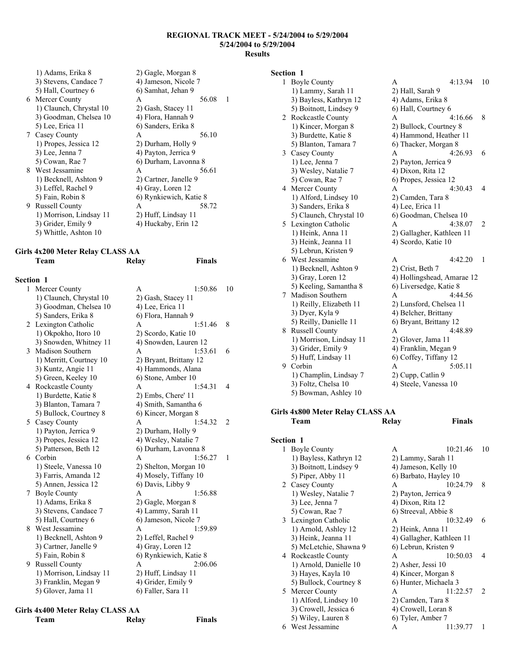1) Adams, Erika 8  $2$ <br>3) Stevens, Candace 7  $4$ 3) Stevens, Candace 7  $\qquad \qquad$  4)<br>5) Hall, Courtney 6  $\qquad \qquad$  6  $5)$  Hall, Courtney 6 6 Mercer County<br>
1) Claunch, Chrystal 10 2) 1) Claunch, Chrystal 10 2)<br>3) Goodman, Chelsea 10 4 3) Goodman, Chelsea  $10$   $4$ <br>5) Lee, Erica  $11$   $6$ 5) Lee, Erica 11 7 Casey County<br>
1) Propes, Jessica 12 (2) 1) Propes, Jessica 12  $\begin{array}{c} 2 \end{array}$ <br>3) Lee, Jenna 7  $\begin{array}{c} 4 \end{array}$ 3) Lee, Jenna 7  $\begin{array}{ccc} 4 & 4 \\ 5 & \text{O} \end{array}$  $5)$  Cowan, Rae 7 8 West Jessamine A<br>
1) Becknell, Ashton 9 2) 1) Becknell, Ashton 9  $\begin{array}{c} 2 \ 3)$  Leffel. Rachel 9  $\end{array}$ 3) Leffel, Rachel 9  $\begin{array}{ccc} 4 & 4 \\ 5 & 6 \end{array}$ 5) Fain, Robin 8 9 Russell County<br>
1) Morrison Lindsay 11 2 1) Morrison, Lindsay 11  $3)$  Grider, Emily 9  $4)$ 5) Whittle, Ashton 10

# **Girls 4x200 Meter Relay CLASS AA Team Relay Finals**

# **Section 1**

| 1 | Mercer County           | 1:50.86<br>A           | 10 |
|---|-------------------------|------------------------|----|
|   | 1) Claunch, Chrystal 10 | 2) Gash, Stacey 11     |    |
|   | 3) Goodman, Chelsea 10  | 4) Lee, Erica 11       |    |
|   | 5) Sanders, Erika 8     | 6) Flora, Hannah 9     |    |
| 2 | Lexington Catholic      | 1:51.46<br>A           | 8  |
|   | 1) Okpokho, Itoro 10    | 2) Scordo, Katie 10    |    |
|   | 3) Snowden, Whitney 11  | 4) Snowden, Lauren 12  |    |
| 3 | Madison Southern        | 1:53.61<br>A           | 6  |
|   | 1) Merritt, Courtney 10 | 2) Bryant, Brittany 12 |    |
|   | 3) Kuntz, Angie 11      | 4) Hammonds, Alana     |    |
|   | 5) Green, Keeley 10     | 6) Stone, Amber 10     |    |
| 4 | Rockcastle County       | 1:54.31<br>A           | 4  |
|   | 1) Burdette, Katie 8    | 2) Embs, Chere' 11     |    |
|   | 3) Blanton, Tamara 7    | 4) Smith, Samantha 6   |    |
|   | 5) Bullock, Courtney 8  | 6) Kincer, Morgan 8    |    |
| 5 | Casey County            | A<br>1:54.32           | 2  |
|   | 1) Payton, Jerrica 9    | 2) Durham, Holly 9     |    |
|   | 3) Propes, Jessica 12   | 4) Wesley, Natalie 7   |    |
|   | 5) Patterson, Beth 12   | 6) Durham, Lavonna 8   |    |
| 6 | Corbin                  | A<br>1:56.27           | 1  |
|   | 1) Steele, Vanessa 10   | 2) Shelton, Morgan 10  |    |
|   | 3) Farris, Amanda 12    | 4) Mosely, Tiffany 10  |    |
|   | 5) Annen, Jessica 12    | 6) Davis, Libby 9      |    |
| 7 | <b>Boyle County</b>     | 1:56.88<br>A           |    |
|   | 1) Adams, Erika 8       | 2) Gagle, Morgan 8     |    |
|   | 3) Stevens, Candace 7   | 4) Lammy, Sarah 11     |    |
|   | 5) Hall, Courtney 6     | 6) Jameson, Nicole 7   |    |
| 8 | West Jessamine          | A<br>1:59.89           |    |
|   | 1) Becknell, Ashton 9   | 2) Leffel, Rachel 9    |    |
|   | 3) Cartner, Janelle 9   | 4) Gray, Loren 12      |    |
|   | 5) Fain, Robin 8        | 6) Rynkiewich, Katie 8 |    |
| 9 | <b>Russell County</b>   | 2:06.06<br>A           |    |
|   | 1) Morrison, Lindsay 11 | 2) Huff, Lindsay 11    |    |
|   | 3) Franklin, Megan 9    | 4) Grider, Emily 9     |    |
|   | 5) Glover, Jama 11      | 6) Faller, Sara 11     |    |

# **Girls 4x400 Meter Relay CLASS AA**

**Team Relay Finals** 

| Gagle, Morgan 8     |       |   |
|---------------------|-------|---|
| Jameson, Nicole 7   |       |   |
| Samhat, Jehan 9     |       |   |
|                     | 56.08 | 1 |
| Gash, Stacey 11     |       |   |
| Flora, Hannah 9     |       |   |
| ) Sanders, Erika 8  |       |   |
|                     | 56.10 |   |
| Durham, Holly 9     |       |   |
| Payton, Jerrica 9   |       |   |
| Durham, Lavonna 8   |       |   |
|                     | 56.61 |   |
| Cartner, Janelle 9  |       |   |
| Gray, Loren 12      |       |   |
| Rynkiewich, Katie 8 |       |   |
|                     | 58.72 |   |
| Huff, Lindsay 11    |       |   |
| Huckaby, Erin 12    |       |   |
|                     |       |   |

#### **Section 1**  1 Boyle County A 4:13.94 10

|           | 1) Lammy, Sarah 11               | 2) Hall, Sarah 9           |    |
|-----------|----------------------------------|----------------------------|----|
|           | 3) Bayless, Kathryn 12           | 4) Adams, Erika 8          |    |
|           | 5) Boitnott, Lindsey 9           | 6) Hall, Courtney 6        |    |
|           | 2 Rockcastle County              | 4:16.66<br>A               | 8  |
|           | 1) Kincer, Morgan 8              | 2) Bullock, Courtney 8     |    |
|           | 3) Burdette, Katie 8             | 4) Hammond, Heather 11     |    |
|           | 5) Blanton, Tamara 7             | 6) Thacker, Morgan 8       |    |
|           | 3 Casey County                   | 4:26.93<br>A               | 6  |
|           | 1) Lee, Jenna 7                  | 2) Payton, Jerrica 9       |    |
|           | 3) Wesley, Natalie 7             | 4) Dixon, Rita 12          |    |
|           | 5) Cowan, Rae 7                  | 6) Propes, Jessica 12      |    |
|           |                                  | 4:30.43<br>A               | 4  |
|           | 4 Mercer County                  |                            |    |
|           | 1) Alford, Lindsey 10            | 2) Camden, Tara 8          |    |
|           | 3) Sanders, Erika 8              | 4) Lee, Erica 11           |    |
|           | 5) Claunch, Chrystal 10          | 6) Goodman, Chelsea 10     |    |
|           | 5 Lexington Catholic             | A<br>4:38.07               | 2  |
|           | 1) Heink, Anna 11                | 2) Gallagher, Kathleen 11  |    |
|           | 3) Heink, Jeanna 11              | 4) Scordo, Katie 10        |    |
|           | 5) Lebrun, Kristen 9             |                            |    |
|           | 6 West Jessamine                 | 4:42.20<br>A               | 1  |
|           | 1) Becknell, Ashton 9            | 2) Crist, Beth 7           |    |
|           | 3) Gray, Loren 12                | 4) Hollingshead, Amarae 12 |    |
|           | 5) Keeling, Samantha 8           | 6) Liversedge, Katie 8     |    |
|           | 7 Madison Southern               | 4:44.56<br>A               |    |
|           | 1) Reilly, Elizabeth 11          | 2) Lunsford, Chelsea 11    |    |
|           | 3) Dyer, Kyla 9                  | 4) Belcher, Brittany       |    |
|           | 5) Reilly, Danielle 11           | 6) Bryant, Brittany 12     |    |
|           | 8 Russell County                 | 4:48.89<br>A               |    |
|           | 1) Morrison, Lindsay 11          | 2) Glover, Jama 11         |    |
|           | 3) Grider, Emily 9               | 4) Franklin, Megan 9       |    |
|           | 5) Huff, Lindsay 11              | 6) Coffey, Tiffany 12      |    |
|           | 9 Corbin                         | A<br>5:05.11               |    |
|           | 1) Champlin, Lindsay 7           | 2) Cupp, Catlin 9          |    |
|           | 3) Foltz, Chelsa 10              | 4) Steele, Vanessa 10      |    |
|           | 5) Bowman, Ashley 10             |                            |    |
|           |                                  |                            |    |
|           | Girls 4x800 Meter Relay CLASS AA |                            |    |
|           | Team                             | <b>Finals</b><br>Relay     |    |
|           |                                  |                            |    |
| Section 1 |                                  |                            |    |
| 1         | <b>Boyle County</b>              | 10:21.46<br>A              | 10 |
|           | 1) Bayless, Kathryn 12           | 2) Lammy, Sarah 11         |    |
|           | 3) Boitnott, Lindsey 9           | 4) Jameson, Kelly 10       |    |
|           | 5) Piper, Abby 11                | 6) Barbato, Hayley 10      |    |
|           | 2 Casey County                   | 10:24.79<br>A              | 8  |
|           | 1) Wesley, Natalie 7             | 2) Payton, Jerrica 9       |    |
|           | 3) Lee, Jenna 7                  | 4) Dixon, Rita 12          |    |
|           | 5) Cowan, Rae 7                  | 6) Streeval, Abbie 8       |    |
|           | 3 Lexington Catholic             | 10:32.49<br>A              | 6  |
|           | 1) Arnold, Ashley 12             | 2) Heink, Anna 11          |    |
|           | 3) Heink, Jeanna 11              | 4) Gallagher, Kathleen 11  |    |
|           | 5) McLetchie, Shawna 9           | 6) Lebrun, Kristen 9       |    |
|           | 4 Rockcastle County              | 10:50.03<br>A              | 4  |
|           | 1) Arnold, Danielle 10           | 2) Asher, Jessi 10         |    |
|           | 3) Hayes, Kayla 10               | 4) Kincer, Morgan 8        |    |
|           | 5) Bullock, Courtney 8           | 6) Hunter, Michaela 3      |    |
|           | 5 Mercer County                  | A<br>11:22.57              | 2  |
|           | 1) Alford, Lindsey 10            | 2) Camden, Tara 8          |    |
|           | 3) Crowell, Jessica 6            | 4) Crowell, Loran 8        |    |

5) Wiley, Lauren 8 6) Tyler, Amber 7<br>West Jessamine A 11:39.77 1

6 West Jessamine A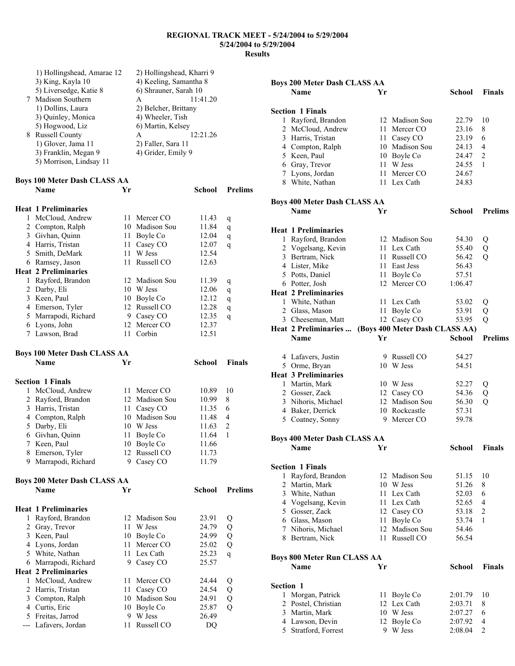| 8              | 1) Hollingshead, Amarae 12<br>3) King, Kayla 10<br>5) Liversedge, Katie 8<br>7 Madison Southern<br>1) Dollins, Laura<br>3) Quinley, Monica<br>5) Hogwood, Liz<br><b>Russell County</b><br>1) Glover, Jama 11<br>3) Franklin, Megan 9<br>5) Morrison, Lindsay 11 |      | 2) Hollingshead, Kharri 9<br>4) Keeling, Samantha 8<br>6) Shrauner, Sarah 10<br>A<br>11:41.20<br>2) Belcher, Brittany<br>4) Wheeler, Tish<br>6) Martin, Kelsey<br>12:21.26<br>A<br>2) Faller, Sara 11<br>4) Grider, Emily 9 |               |                |
|----------------|-----------------------------------------------------------------------------------------------------------------------------------------------------------------------------------------------------------------------------------------------------------------|------|-----------------------------------------------------------------------------------------------------------------------------------------------------------------------------------------------------------------------------|---------------|----------------|
|                | <b>Boys 100 Meter Dash CLASS AA</b><br><b>Name</b>                                                                                                                                                                                                              | Yr   |                                                                                                                                                                                                                             | School        | <b>Prelims</b> |
|                | <b>Heat 1 Preliminaries</b>                                                                                                                                                                                                                                     |      |                                                                                                                                                                                                                             |               |                |
|                | 1 McCloud, Andrew                                                                                                                                                                                                                                               | 11   | Mercer CO                                                                                                                                                                                                                   | 11.43         | q              |
|                | 2 Compton, Ralph                                                                                                                                                                                                                                                |      | 10 Madison Sou                                                                                                                                                                                                              | 11.84         | q              |
|                | 3 Givhan, Quinn                                                                                                                                                                                                                                                 |      | 11 Boyle Co                                                                                                                                                                                                                 | 12.04         | q              |
|                | 4 Harris, Tristan                                                                                                                                                                                                                                               | 11   | Casey CO                                                                                                                                                                                                                    | 12.07         | q              |
|                | 5 Smith, DeMark                                                                                                                                                                                                                                                 |      | 11 W Jess                                                                                                                                                                                                                   | 12.54         |                |
|                | 6 Ramsey, Jason                                                                                                                                                                                                                                                 | 11   | Russell CO                                                                                                                                                                                                                  | 12.63         |                |
|                | <b>Heat 2 Preliminaries</b>                                                                                                                                                                                                                                     |      |                                                                                                                                                                                                                             |               |                |
| 1              | Rayford, Brandon                                                                                                                                                                                                                                                |      | 12 Madison Sou                                                                                                                                                                                                              | 11.39         | q              |
| $\overline{2}$ | Darby, Eli                                                                                                                                                                                                                                                      |      | 10 W Jess                                                                                                                                                                                                                   | 12.06         | q              |
|                | 3 Keen, Paul                                                                                                                                                                                                                                                    |      | 10 Boyle Co                                                                                                                                                                                                                 | 12.12         | q              |
|                | 4 Emerson, Tyler                                                                                                                                                                                                                                                |      | 12 Russell CO                                                                                                                                                                                                               | 12.28         | q              |
| 5              | Marrapodi, Richard                                                                                                                                                                                                                                              |      | 9 Casey CO                                                                                                                                                                                                                  | 12.35         | q              |
| 6              | Lyons, John                                                                                                                                                                                                                                                     |      | 12 Mercer CO                                                                                                                                                                                                                | 12.37         |                |
| 7              | Lawson, Brad                                                                                                                                                                                                                                                    | 11 - | Corbin                                                                                                                                                                                                                      | 12.51         |                |
|                |                                                                                                                                                                                                                                                                 |      |                                                                                                                                                                                                                             |               |                |
|                | <b>Boys 100 Meter Dash CLASS AA</b><br><b>Name</b>                                                                                                                                                                                                              | Yr   |                                                                                                                                                                                                                             | School        | <b>Finals</b>  |
|                |                                                                                                                                                                                                                                                                 |      |                                                                                                                                                                                                                             |               |                |
|                | <b>Section 1 Finals</b>                                                                                                                                                                                                                                         |      |                                                                                                                                                                                                                             |               |                |
|                | 1 McCloud, Andrew                                                                                                                                                                                                                                               |      | 11 Mercer CO                                                                                                                                                                                                                | 10.89         | 10             |
|                | 2 Rayford, Brandon                                                                                                                                                                                                                                              |      | 12 Madison Sou                                                                                                                                                                                                              | 10.99         | 8              |
|                | 3 Harris, Tristan                                                                                                                                                                                                                                               |      | 11 Casey CO                                                                                                                                                                                                                 | 11.35         | 6              |
|                | 4 Compton, Ralph                                                                                                                                                                                                                                                |      | 10 Madison Sou                                                                                                                                                                                                              | 11.48         | 4              |
| 5              | Darby, Eli                                                                                                                                                                                                                                                      |      | 10 W Jess                                                                                                                                                                                                                   | 11.63         | $\overline{c}$ |
|                | 6 Givhan, Quinn                                                                                                                                                                                                                                                 | 11   | Boyle Co                                                                                                                                                                                                                    | 11.64         | 1              |
| $\mathcal{L}$  | Keen, Paul                                                                                                                                                                                                                                                      |      | 10 Boyle Co                                                                                                                                                                                                                 | 11.66         |                |
|                | 8 Emerson, Tyler                                                                                                                                                                                                                                                |      | 12 Russell CO                                                                                                                                                                                                               | 11.73         |                |
|                | 9 Marrapodi, Richard                                                                                                                                                                                                                                            | 9    | Casey CO                                                                                                                                                                                                                    | 11.79         |                |
|                |                                                                                                                                                                                                                                                                 |      |                                                                                                                                                                                                                             |               |                |
|                | <b>Boys 200 Meter Dash CLASS AA</b><br>Name                                                                                                                                                                                                                     | Yr   |                                                                                                                                                                                                                             | <b>School</b> | <b>Prelims</b> |
|                |                                                                                                                                                                                                                                                                 |      |                                                                                                                                                                                                                             |               |                |
|                | <b>Heat 1 Preliminaries</b>                                                                                                                                                                                                                                     |      |                                                                                                                                                                                                                             |               |                |
| 1              | Rayford, Brandon                                                                                                                                                                                                                                                |      | 12 Madison Sou                                                                                                                                                                                                              | 23.91         | Q              |
| $\overline{2}$ | Gray, Trevor                                                                                                                                                                                                                                                    | 11   | W Jess                                                                                                                                                                                                                      | 24.79         | Q              |
| 3              | Keen, Paul                                                                                                                                                                                                                                                      |      | 10 Boyle Co                                                                                                                                                                                                                 | 24.99         | Q              |
|                | 4 Lyons, Jordan                                                                                                                                                                                                                                                 | 11   | Mercer CO                                                                                                                                                                                                                   | 25.02         | Q              |
|                | 5 White, Nathan                                                                                                                                                                                                                                                 |      | 11 Lex Cath                                                                                                                                                                                                                 | 25.23         | $\mathbf{q}$   |
|                | 6 Marrapodi, Richard                                                                                                                                                                                                                                            | 9.   | Casey CO                                                                                                                                                                                                                    | 25.57         |                |
|                | <b>Heat 2 Preliminaries</b>                                                                                                                                                                                                                                     |      |                                                                                                                                                                                                                             |               |                |
| 1              | McCloud, Andrew                                                                                                                                                                                                                                                 | 11   | Mercer CO                                                                                                                                                                                                                   | 24.44         | Q              |
| 2              | Harris, Tristan                                                                                                                                                                                                                                                 | 11   | Casey CO                                                                                                                                                                                                                    | 24.54         | Q              |
|                | 3 Compton, Ralph                                                                                                                                                                                                                                                | 10   | Madison Sou                                                                                                                                                                                                                 | 24.91         | Q              |
| 4              | Curtis, Eric                                                                                                                                                                                                                                                    |      | 10 Boyle Co                                                                                                                                                                                                                 | 25.87         | Q              |
| 5              | Freitas, Jarrod                                                                                                                                                                                                                                                 | 9.   | W Jess                                                                                                                                                                                                                      | 26.49         |                |
|                | Lafavers, Jordan                                                                                                                                                                                                                                                | 11   | Russell CO                                                                                                                                                                                                                  | DQ            |                |
|                |                                                                                                                                                                                                                                                                 |      |                                                                                                                                                                                                                             |               |                |

|              | <b>Boys 200 Meter Dash CLASS AA</b> |    |                                |               |                |
|--------------|-------------------------------------|----|--------------------------------|---------------|----------------|
|              | Name                                | Yr |                                | School        | <b>Finals</b>  |
|              | <b>Section 1 Finals</b>             |    |                                |               |                |
| 1            | Rayford, Brandon                    |    | 12 Madison Sou                 | 22.79         | 10             |
|              | 2 McCloud, Andrew                   |    | 11 Mercer CO                   | 23.16         | 8              |
|              | 3 Harris, Tristan                   |    | 11 Casey CO                    | 23.19         | 6              |
|              | 4 Compton, Ralph                    |    | 10 Madison Sou                 | 24.13         | 4              |
|              | 5 Keen, Paul                        |    | 10 Boyle Co                    | 24.47         | 2              |
|              | 6 Gray, Trevor                      |    | 11 W Jess                      | 24.55         | 1              |
|              | 7 Lyons, Jordan                     |    | 11 Mercer CO                   | 24.67         |                |
|              | 8 White, Nathan                     |    | 11 Lex Cath                    | 24.83         |                |
|              | <b>Boys 400 Meter Dash CLASS AA</b> |    |                                |               |                |
|              | <b>Name</b>                         | Yr |                                | School        | <b>Prelims</b> |
|              | <b>Heat 1 Preliminaries</b>         |    |                                |               |                |
|              | 1 Rayford, Brandon                  |    | 12 Madison Sou                 | 54.30         | Q              |
|              | 2 Vogelsang, Kevin                  |    | 11 Lex Cath                    | 55.40         | Q              |
|              | 3 Bertram, Nick                     |    | 11 Russell CO                  | 56.42         | Q              |
|              | 4 Lister, Mike                      |    | 11 East Jess                   | 56.43         |                |
|              | 5 Potts, Daniel                     |    | 11 Boyle Co                    | 57.51         |                |
|              | 6 Potter, Josh                      |    | 12 Mercer CO                   | 1:06.47       |                |
|              | <b>Heat 2 Preliminaries</b>         |    |                                |               |                |
|              | 1 White, Nathan                     |    | 11 Lex Cath                    | 53.02         | Q              |
|              | 2 Glass, Mason                      |    | 11 Boyle Co                    | 53.91         | Q              |
|              | 3 Cheeseman, Matt                   |    | 12 Casey CO                    | 53.95         | Q              |
|              | Heat 2 Preliminaries                |    | (Boys 400 Meter Dash CLASS AA) |               |                |
|              | <b>Name</b>                         | Yr |                                | School        | <b>Prelims</b> |
|              |                                     |    |                                |               |                |
|              | 4 Lafavers, Justin                  |    | 9 Russell CO                   | 54.27         |                |
|              | 5 Orme, Bryan                       |    | 10 W Jess                      | 54.51         |                |
|              | <b>Heat 3 Preliminaries</b>         |    |                                |               |                |
|              | 1 Martin, Mark                      |    | 10 W Jess                      | 52.27         | Q              |
|              | 2 Gosser, Zack                      |    | 12 Casey CO                    | 54.36         | Q              |
|              | 3 Nihoris, Michael                  |    | 12 Madison Sou                 | 56.30         | $\overline{Q}$ |
|              | 4 Baker, Derrick                    |    | 10 Rockcastle                  | 57.31         |                |
|              | 5 Coatney, Sonny                    |    | 9 Mercer CO                    | 59.78         |                |
|              | <b>Boys 400 Meter Dash CLASS AA</b> |    |                                |               |                |
|              | Name                                | Yr |                                | School        | <b>Finals</b>  |
|              | <b>Section 1 Finals</b>             |    |                                |               |                |
| $\mathbf{1}$ | Rayford, Brandon                    |    | 12 Madison Sou                 | 51.15         | 10             |
| 2            | Martin, Mark                        |    | 10 W Jess                      | 51.26         | 8              |
|              | 3 White, Nathan                     |    | 11 Lex Cath                    | 52.03         | 6              |
|              | 4 Vogelsang, Kevin                  |    | 11 Lex Cath                    | 52.65         | 4              |
| 5            | Gosser, Zack                        |    | 12 Casey CO                    | 53.18         | 2              |
|              | 6 Glass, Mason                      |    | 11 Boyle Co                    | 53.74         | 1              |
| 7            | Nihoris, Michael                    |    | 12 Madison Sou                 | 54.46         |                |
| 8.           | Bertram, Nick                       |    | 11 Russell CO                  | 56.54         |                |
|              | <b>Boys 800 Meter Run CLASS AA</b>  |    |                                |               |                |
|              | Name                                | Yr |                                | <b>School</b> | <b>Finals</b>  |
| Section 1    |                                     |    |                                |               |                |
| 1            | Morgan, Patrick                     |    | 11 Boyle Co                    | 2:01.79       | 10             |
| 2            | Postel, Christian                   |    | 12 Lex Cath                    | 2:03.71       | 8              |
| 3            | Martin, Mark                        |    | 10 W Jess                      | 2:07.27       | 6              |
| 4            | Lawson, Devin                       |    | 12 Boyle Co                    | 2:07.92       | 4              |
|              | 5 Stratford, Forrest                |    | 9 W Jess                       | 2:08.04       | $\overline{2}$ |
|              |                                     |    |                                |               |                |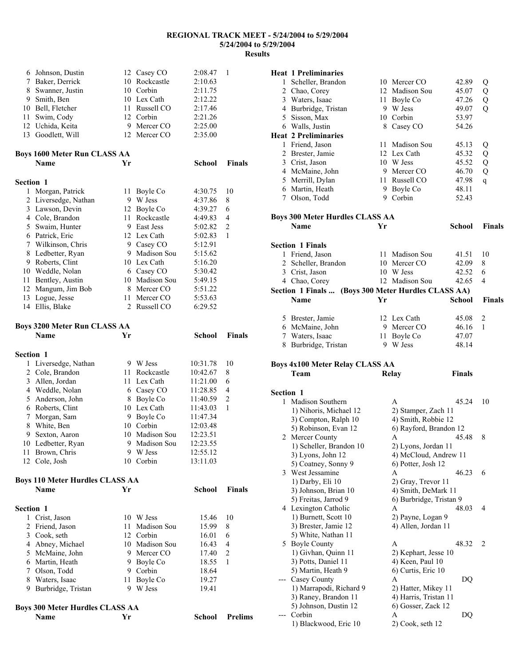|                  | Name                                                  | Yr   |                | School         | <b>Prelims</b> |
|------------------|-------------------------------------------------------|------|----------------|----------------|----------------|
|                  | <b>Boys 300 Meter Hurdles CLASS AA</b>                |      |                |                |                |
|                  |                                                       |      |                |                |                |
|                  | 9 Burbridge, Tristan                                  |      | 9 W Jess       | 19.41          |                |
|                  | 8 Waters, Isaac                                       | 11   | Boyle Co       | 19.27          |                |
|                  | 6 Martin, Heath<br>7 Olson, Todd                      |      | 9 Corbin       | 18.55<br>18.64 |                |
|                  |                                                       |      | 9 Boyle Co     |                | 1              |
|                  | 5 McMaine, John                                       |      | 9 Mercer CO    | 17.40          | 2              |
|                  | 4 Abney, Michael                                      |      | 10 Madison Sou | 16.43          | 4              |
|                  | 3 Cook, seth                                          |      | 12 Corbin      | 16.01          | 6              |
| $\overline{2}$   | Friend, Jason                                         |      | 11 Madison Sou | 15.99          | 8              |
| 1                | Crist, Jason                                          |      | 10 W Jess      | 15.46          | 10             |
| <b>Section 1</b> |                                                       |      |                |                |                |
|                  | <b>Boys 110 Meter Hurdles CLASS AA</b><br><b>Name</b> | Yr   |                | School         | <b>Finals</b>  |
|                  |                                                       |      |                |                |                |
|                  | 12 Cole, Josh                                         |      | 10 Corbin      | 13:11.03       |                |
|                  | 11 Brown, Chris                                       |      | 9 W Jess       | 12:55.12       |                |
|                  | 10 Ledbetter, Ryan                                    |      | 9 Madison Sou  | 12:23.55       |                |
|                  | 9 Sexton, Aaron                                       |      | 10 Madison Sou | 12:23.51       |                |
| 8                | White, Ben                                            |      | 10 Corbin      | 12:03.48       |                |
| 7                | Morgan, Sam                                           | 9.   | Boyle Co       | 11:47.34       |                |
|                  | 6 Roberts, Clint                                      |      | 10 Lex Cath    | 11:43.03       | 1              |
| 5                | Anderson, John                                        |      | 8 Boyle Co     | 11:40.59       | $\overline{c}$ |
|                  | 4 Weddle, Nolan                                       |      | 6 Casey CO     | 11:28.85       | 4              |
| 3                | Allen, Jordan                                         | 11   | Lex Cath       | 11:21.00       | 6              |
| $\overline{c}$   | Cole, Brandon                                         | 11 - | Rockcastle     | 10:42.67       | 8              |
| 1                | Liversedge, Nathan                                    |      | 9 W Jess       | 10:31.78       | 10             |
| <b>Section 1</b> |                                                       |      |                |                |                |
|                  |                                                       |      |                |                |                |
|                  | <b>Boys 3200 Meter Run CLASS AA</b><br>Name           | Yr   |                | School         | <b>Finals</b>  |
|                  |                                                       |      |                |                |                |
|                  | 14 Ellis, Blake                                       |      | 2 Russell CO   | 6:29.52        |                |
| 13               | Logue, Jesse                                          | 11   | Mercer CO      | 5:53.63        |                |
|                  | 12 Mangum, Jim Bob                                    |      | 8 Mercer CO    | 5:51.22        |                |
| 11               | Bentley, Austin                                       |      | 10 Madison Sou | 5:49.15        |                |
|                  | 10 Weddle, Nolan                                      |      | 6 Casey CO     | 5:30.42        |                |
|                  | 9 Roberts, Clint                                      |      | 10 Lex Cath    | 5:16.20        |                |
| 8                | Ledbetter, Ryan                                       |      | 9 Madison Sou  | 5:15.62        |                |
|                  | 7 Wilkinson, Chris                                    |      | 9 Casey CO     | 5:12.91        |                |
|                  | 6 Patrick, Eric                                       |      | 12 Lex Cath    | 5:02.83        | 1              |
| 5                | Swaim, Hunter                                         |      | 9 East Jess    | 5:02.82        | $\overline{c}$ |
|                  | 4 Cole, Brandon                                       | 11 - | Rockcastle     | 4:49.83        | 4              |
|                  | 3 Lawson, Devin                                       |      | 12 Boyle Co    | 4:39.27        | 6              |
| 2                | Liversedge, Nathan                                    |      | 9 W Jess       | 4:37.86        | 8              |
| 1                | Morgan, Patrick                                       | 11   | Boyle Co       | 4:30.75        | 10             |
|                  |                                                       |      |                |                |                |
| <b>Section 1</b> |                                                       |      |                |                |                |
|                  | Name                                                  | Yr   |                | School         | <b>Finals</b>  |
|                  | <b>Boys 1600 Meter Run CLASS AA</b>                   |      |                |                |                |
|                  |                                                       |      |                |                |                |
| 13               | Goodlett, Will                                        |      | 12 Mercer CO   | 2:35.00        |                |
|                  | 12 Uchida, Keita                                      |      | 9 Mercer CO    | 2:25.00        |                |
| 11               | Swim, Cody                                            |      | 12 Corbin      | 2:21.26        |                |
|                  | 10 Bell, Fletcher                                     | 11   | Russell CO     | 2:17.46        |                |
|                  | 9 Smith, Ben                                          |      | 10 Lex Cath    | 2:12.22        |                |
|                  | 8 Swanner, Justin                                     |      | 10 Corbin      | 2:11.75        |                |
|                  | 7 Baker, Derrick                                      |      | 10 Rockcastle  | 2:10.63        |                |
|                  | 6 Johnson, Dustin                                     |      | 12 Casey CO    | 2:08.47        | $\mathbf{1}$   |

|                  | <b>Heat 1 Preliminaries</b>                         |    |                         |                  |               |
|------------------|-----------------------------------------------------|----|-------------------------|------------------|---------------|
|                  | 1 Scheller, Brandon                                 |    | 10 Mercer CO            | 42.89            | Q             |
|                  | 2 Chao, Corey                                       |    | 12 Madison Sou          | 45.07            | Q             |
|                  | 3 Waters, Isaac                                     |    | 11 Boyle Co             | 47.26            | Q             |
|                  | 4 Burbridge, Tristan                                |    | 9 W Jess                | 49.07            | Q             |
|                  | 5 Sisson, Max                                       |    | 10 Corbin               | 53.97            |               |
|                  | 6 Walls, Justin                                     |    | 8 Casey CO              | 54.26            |               |
|                  | <b>Heat 2 Preliminaries</b>                         |    |                         |                  |               |
|                  | 1 Friend, Jason                                     |    | 11 Madison Sou          | 45.13            |               |
|                  |                                                     |    | 12 Lex Cath             | 45.32            | Q             |
|                  | 2 Brester, Jamie                                    |    | 10 W Jess               | 45.52            | Q             |
|                  | 3 Crist, Jason                                      |    |                         |                  | Q             |
|                  | 4 McMaine, John                                     |    | 9 Mercer CO             | 46.70            | Q             |
|                  | 5 Merrill, Dylan                                    |    | 11 Russell CO           | 47.98            | q             |
|                  | 6 Martin, Heath                                     |    | 9 Boyle Co              | 48.11            |               |
|                  | 7 Olson, Todd                                       |    | 9 Corbin                | 52.43            |               |
|                  | <b>Boys 300 Meter Hurdles CLASS AA</b>              |    |                         |                  |               |
|                  | Name                                                | Yr |                         | School           | <b>Finals</b> |
|                  |                                                     |    |                         |                  |               |
|                  | <b>Section 1 Finals</b>                             |    |                         |                  |               |
|                  | 1 Friend, Jason                                     |    | 11 Madison Sou          | 41.51            | 10            |
|                  | 2 Scheller, Brandon                                 |    | 10 Mercer CO            | 42.09            | 8             |
|                  | 3 Crist, Jason                                      |    | 10 W Jess               | 42.52            | 6             |
|                  | 4 Chao, Corey                                       |    | 12 Madison Sou          | 42.65            | 4             |
|                  | Section 1 Finals  (Boys 300 Meter Hurdles CLASS AA) |    |                         |                  |               |
|                  | <b>Name</b>                                         | Yr |                         | School           | <b>Finals</b> |
|                  | 5 Brester, Jamie                                    |    | 12 Lex Cath             | 45.08            | 2             |
|                  | 6 McMaine, John                                     |    | 9 Mercer CO             | 46.16            | 1             |
|                  | 7 Waters, Isaac                                     |    | 11 Boyle Co             | 47.07            |               |
|                  | 8 Burbridge, Tristan                                | 9. | W Jess                  | 48.14            |               |
|                  |                                                     |    |                         |                  |               |
|                  | <b>Boys 4x100 Meter Relay CLASS AA</b>              |    |                         |                  |               |
|                  | Team                                                |    | Relay                   | <b>Finals</b>    |               |
|                  |                                                     |    |                         |                  |               |
| <b>Section 1</b> |                                                     |    |                         |                  |               |
|                  | 1 Madison Southern                                  |    | A                       | 45.24            | 10            |
|                  | 1) Nihoris, Michael 12                              |    | 2) Stamper, Zach 11     |                  |               |
|                  | 3) Compton, Ralph 10                                |    | 4) Smith, Robbie 12     |                  |               |
|                  | 5) Robinson, Evan 12                                |    | 6) Rayford, Brandon 12  |                  |               |
|                  | 2 Mercer County                                     |    | Α                       | 45.48            | 8             |
|                  | 1) Scheller, Brandon 10                             |    | 2) Lyons, Jordan 11     |                  |               |
|                  | 3) Lyons, John 12                                   |    | 4) McCloud, Andrew 11   |                  |               |
|                  | 5) Coatney, Sonny 9                                 |    | 6) Potter, Josh 12      |                  |               |
|                  | 3 West Jessamine                                    |    | Α                       | 46.23            | 6             |
|                  | 1) Darby, Eli 10                                    |    | 2) Gray, Trevor 11      |                  |               |
|                  | 3) Johnson, Brian 10                                |    | 4) Smith, DeMark 11     |                  |               |
|                  | 5) Freitas, Jarrod 9                                |    | 6) Burbridge, Tristan 9 |                  |               |
|                  | 4 Lexington Catholic                                |    | А                       | 48.03            | 4             |
|                  | 1) Burnett, Scott 10                                |    | 2) Payne, Logan 9       |                  |               |
|                  | 3) Brester, Jamie 12                                |    | 4) Allen, Jordan 11     |                  |               |
|                  | 5) White, Nathan 11                                 |    |                         |                  |               |
|                  | 5 Boyle County                                      |    | A                       | 48.32            | 2             |
|                  | 1) Givhan, Quinn 11                                 |    | 2) Kephart, Jesse 10    |                  |               |
|                  | 3) Potts, Daniel 11                                 |    | 4) Keen, Paul 10        |                  |               |
|                  | 5) Martin, Heath 9                                  |    | 6) Curtis, Eric 10      |                  |               |
|                  | Casey County                                        |    | Α                       | DQ               |               |
|                  | 1) Marrapodi, Richard 9                             |    | 2) Hatter, Mikey 11     |                  |               |
|                  | 3) Raney, Brandon 11                                |    | 4) Harris, Tristan 11   |                  |               |
|                  | 5) Johnson, Dustin 12                               |    | 6) Gosser, Zack 12      |                  |               |
|                  | Corbin                                              |    | A                       | DQ               |               |
|                  | 1) Blackwood, Eric 10                               |    |                         | 2) Cook, seth 12 |               |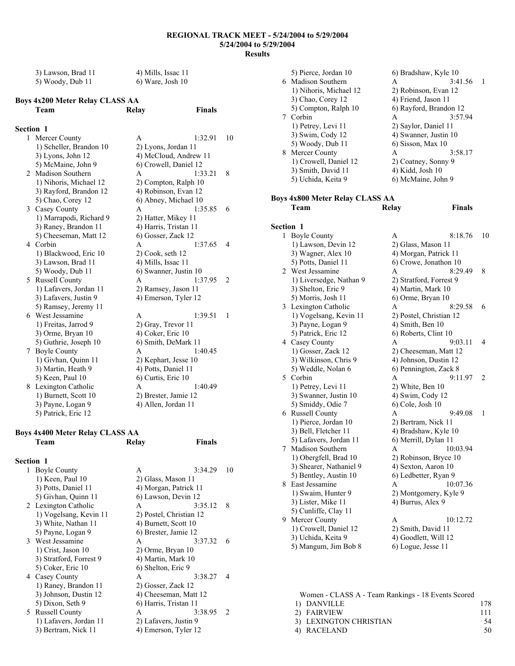| 3) Lawson, Brad 11 | 4) Mills, Issac 11 |
|--------------------|--------------------|
| 5) Woody, Dub 11   | $6)$ Ware, Josh 10 |

| <b>Boys 4x200 Meter Relay CLASS AA</b> |                         |                       |               |    |
|----------------------------------------|-------------------------|-----------------------|---------------|----|
|                                        | Team                    | Relay                 | <b>Finals</b> |    |
| Section 1                              |                         |                       |               |    |
|                                        | 1 Mercer County         | А                     | 1:32.91       | 10 |
|                                        | 1) Scheller, Brandon 10 | 2) Lyons, Jordan 11   |               |    |
|                                        | 3) Lyons, John 12       | 4) McCloud, Andrew 11 |               |    |
|                                        | 5) McMaine, John 9      | 6) Crowell, Daniel 12 |               |    |
|                                        | 2 Madison Southern      | $\mathsf{A}$          | 1:33.21       | 8  |
|                                        | 1) Nihoris, Michael 12  | 2) Compton, Ralph 10  |               |    |
|                                        | 3) Rayford, Brandon 12  | 4) Robinson, Evan 12  |               |    |
|                                        | 5) Chao, Corey 12       | 6) Abney, Michael 10  |               |    |
|                                        | 3 Casey County          | A                     | 1:35.85       | 6  |
|                                        | 1) Marrapodi, Richard 9 | 2) Hatter, Mikey 11   |               |    |
|                                        | 3) Raney, Brandon 11    | 4) Harris, Tristan 11 |               |    |
|                                        | 5) Cheeseman, Matt 12   | 6) Gosser, Zack 12    |               |    |
|                                        | 4 Corbin                | A                     | 1:37.65       | 4  |
|                                        | 1) Blackwood, Eric 10   | $2)$ Cook, seth 12    |               |    |
|                                        | 3) Lawson, Brad 11      | 4) Mills, Issac 11    |               |    |
|                                        | 5) Woody, Dub 11        | 6) Swanner, Justin 10 |               |    |
|                                        | 5 Russell County        | A                     | 1:37.95       | 2  |
|                                        | 1) Lafavers, Jordan 11  | 2) Ramsey, Jason 11   |               |    |
|                                        | 3) Lafavers, Justin 9   | 4) Emerson, Tyler 12  |               |    |
|                                        | 5) Ramsey, Jeremy 11    |                       |               |    |
|                                        | 6 West Jessamine        | A                     | 1:39.51       | 1  |
|                                        | 1) Freitas, Jarrod 9    | 2) Gray, Trevor 11    |               |    |
|                                        | 3) Orme, Bryan 10       | 4) Coker, Eric 10     |               |    |
|                                        | 5) Guthrie, Joseph 10   | 6) Smith, DeMark 11   |               |    |
|                                        | 7 Boyle County          | A                     | 1:40.45       |    |
|                                        | 1) Givhan, Quinn 11     | 2) Kephart, Jesse 10  |               |    |
|                                        | 3) Martin, Heath 9      | 4) Potts, Daniel 11   |               |    |
|                                        | 5) Keen, Paul 10        | 6) Curtis, Eric 10    |               |    |
|                                        | 8 Lexington Catholic    | A                     | 1:40.49       |    |
|                                        | 1) Burnett, Scott 10    | 2) Brester, Jamie 12  |               |    |
|                                        | 3) Payne, Logan 9       | 4) Allen, Jordan 11   |               |    |
|                                        | 5) Patrick, Eric 12     |                       |               |    |
|                                        |                         |                       |               |    |

| <b>Boys 4x400 Meter Relay CLASS AA</b> |       |               |
|----------------------------------------|-------|---------------|
| Team                                   | Relay | <b>Finals</b> |

| <b>Section 1</b> |  |
|------------------|--|
|                  |  |

| 1  | <b>Boyle County</b>     | A                       | 3:34.29 | 10 |
|----|-------------------------|-------------------------|---------|----|
|    | 1) Keen, Paul 10        | 2) Glass, Mason 11      |         |    |
|    | 3) Potts, Daniel 11     | 4) Morgan, Patrick 11   |         |    |
|    | 5) Givhan, Quinn 11     | 6) Lawson, Devin 12     |         |    |
|    | 2 Lexington Catholic    | A                       | 3:35.12 | 8  |
|    | 1) Vogelsang, Kevin 11  | 2) Postel, Christian 12 |         |    |
|    | 3) White, Nathan 11     | 4) Burnett, Scott 10    |         |    |
|    | 5) Payne, Logan 9       | 6) Brester, Jamie 12    |         |    |
|    | 3 West Jessamine        | A                       | 3:37.32 | 6  |
|    | 1) Crist, Jason 10      | 2) Orme, Bryan 10       |         |    |
|    | 3) Stratford, Forrest 9 | 4) Martin, Mark 10      |         |    |
|    | 5) Coker, Eric 10       | 6) Shelton, Eric 9      |         |    |
|    | 4 Casey County          | A                       | 3:38.27 | 4  |
|    | 1) Raney, Brandon 11    | 2) Gosser, Zack 12      |         |    |
|    | 3) Johnson, Dustin 12   | 4) Cheeseman, Matt 12   |         |    |
|    | 5) Dixon, Seth 9        | 6) Harris, Tristan 11   |         |    |
| 5. | Russell County          | A                       | 3:38.95 | 2  |
|    | 1) Lafavers, Jordan 11  | 2) Lafavers, Justin 9   |         |    |
|    | 3) Bertram, Nick 11     | 4) Emerson, Tyler 12    |         |    |

|           | 5) Pierce, Jordan 10<br>6 Madison Southern<br>1) Nihoris, Michael 12<br>3) Chao, Corey 12<br>5) Compton, Ralph 10 | 6) Bradshaw, Kyle 10<br>A<br>3:41.56<br>2) Robinson, Evan 12<br>4) Friend, Jason 11<br>6) Rayford, Brandon 12 | 1  |
|-----------|-------------------------------------------------------------------------------------------------------------------|---------------------------------------------------------------------------------------------------------------|----|
|           | 7 Corbin<br>1) Petrey, Levi 11<br>3) Swim, Cody 12                                                                | 3:57.94<br>A<br>2) Saylor, Daniel 11<br>4) Swanner, Justin 10                                                 |    |
|           | 5) Woody, Dub 11                                                                                                  | 6) Sisson, Max 10                                                                                             |    |
|           | 8 Mercer County                                                                                                   | 3:58.17<br>A                                                                                                  |    |
|           | 1) Crowell, Daniel 12                                                                                             | 2) Coatney, Sonny 9                                                                                           |    |
|           | 3) Smith, David 11                                                                                                | 4) Kidd, Josh 10                                                                                              |    |
|           | 5) Uchida, Keita 9                                                                                                | 6) McMaine, John 9                                                                                            |    |
|           | <b>Boys 4x800 Meter Relay CLASS AA</b>                                                                            |                                                                                                               |    |
|           | Team                                                                                                              | <b>Finals</b><br><b>Relay</b>                                                                                 |    |
|           |                                                                                                                   |                                                                                                               |    |
| Section 1 |                                                                                                                   |                                                                                                               |    |
|           | 1 Boyle County                                                                                                    | 8:18.76<br>A                                                                                                  | 10 |
|           | 1) Lawson, Devin 12                                                                                               | 2) Glass, Mason 11                                                                                            |    |
|           | 3) Wagner, Alex 10                                                                                                | 4) Morgan, Patrick 11                                                                                         |    |
|           | 5) Potts, Daniel 11                                                                                               | 6) Crowe, Jonathon 10                                                                                         |    |
|           | 2 West Jessamine                                                                                                  | 8:29.49<br>A                                                                                                  | 8  |
|           | 1) Liversedge, Nathan 9                                                                                           | 2) Stratford, Forrest 9                                                                                       |    |
|           | 3) Shelton, Eric 9                                                                                                | 4) Martin, Mark 10                                                                                            |    |
|           | 5) Morris, Josh 11                                                                                                | 6) Orme, Bryan 10                                                                                             |    |
|           | 3 Lexington Catholic                                                                                              | 8:29.58<br>A                                                                                                  | 6  |
|           | 1) Vogelsang, Kevin 11                                                                                            | 2) Postel, Christian 12                                                                                       |    |
|           | 3) Payne, Logan 9                                                                                                 | 4) Smith, Ben 10                                                                                              |    |
|           | 5) Patrick, Eric 12                                                                                               | 6) Roberts, Clint 10                                                                                          |    |
|           | 4 Casey County                                                                                                    | A<br>9:03.11                                                                                                  | 4  |
|           | 1) Gosser, Zack 12                                                                                                | 2) Cheeseman, Matt 12                                                                                         |    |
|           | 3) Wilkinson, Chris 9<br>5) Weddle, Nolan 6                                                                       | 4) Johnson, Dustin 12<br>6) Pennington, Zack 8                                                                |    |
| 5         | Corbin                                                                                                            | 9:11.97<br>A                                                                                                  | 2  |
|           | 1) Petrey, Levi 11                                                                                                | 2) White, Ben 10                                                                                              |    |
|           | 3) Swanner, Justin 10                                                                                             | 4) Swim, Cody 12                                                                                              |    |
|           | 5) Smiddy, Odie 7                                                                                                 | 6) Cole, Josh 10                                                                                              |    |
|           | 6 Russell County                                                                                                  | A<br>9:49.08                                                                                                  | 1  |
|           | 1) Pierce, Jordan 10                                                                                              | 2) Bertram, Nick 11                                                                                           |    |
|           | 3) Bell, Fletcher 11                                                                                              | 4) Bradshaw, Kyle 10                                                                                          |    |
|           | 5) Lafavers, Jordan 11                                                                                            | 6) Merrill, Dylan 11                                                                                          |    |
| 7         | Madison Southern                                                                                                  | A<br>10:03.94                                                                                                 |    |
|           | 1) Obergfell, Brad 10                                                                                             | 2) Robinson, Bryce 10                                                                                         |    |
|           | 3) Shearer, Nathaniel 9                                                                                           | 4) Sexton, Aaron 10                                                                                           |    |
|           | 5) Bentley, Austin 10                                                                                             | 6) Ledbetter, Ryan 9                                                                                          |    |
| 8         | East Jessamine                                                                                                    | 10:07.36<br>A                                                                                                 |    |
|           | 1) Swaim, Hunter 9                                                                                                | 2) Montgomery, Kyle 9                                                                                         |    |
|           | 3) Lister, Mike 11                                                                                                | 4) Burrus, Alex 9                                                                                             |    |
|           | 5) Cunliffe, Clay 11                                                                                              |                                                                                                               |    |
| 9         | Mercer County                                                                                                     | A<br>10:12.72                                                                                                 |    |
|           | 1) Crowell, Daniel 12                                                                                             | 2) Smith, David 11                                                                                            |    |
|           | 3) Uchida, Keita 9                                                                                                | 4) Goodlett, Will 12                                                                                          |    |
|           | 5) Mangum, Jim Bob 8                                                                                              | 6) Logue, Jesse 11                                                                                            |    |
|           |                                                                                                                   |                                                                                                               |    |

| Women - CLASS A - Team Rankings - 18 Events Scored |     |
|----------------------------------------------------|-----|
| 1) DANVILLE                                        | 178 |
| 2) FAIRVIEW                                        | 111 |
| 3) LEXINGTON CHRISTIAN                             | 54  |
| 4) RACELAND                                        | 50. |